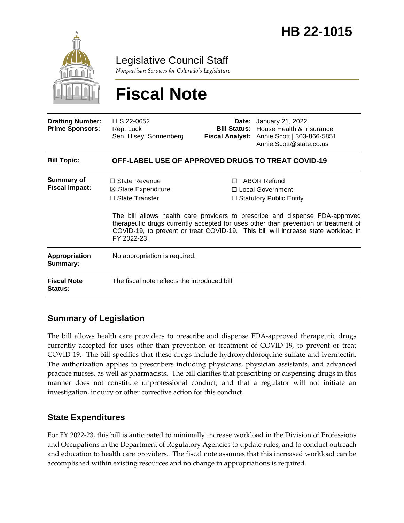

Legislative Council Staff

*Nonpartisan Services for Colorado's Legislature*

# **Fiscal Note**

| <b>Drafting Number:</b><br><b>Prime Sponsors:</b> | LLS 22-0652<br>Rep. Luck<br>Sen. Hisey; Sonnenberg                                            |  | <b>Date:</b> January 21, 2022<br><b>Bill Status:</b> House Health & Insurance<br>Fiscal Analyst: Annie Scott   303-866-5851<br>Annie.Scott@state.co.us                                                                                                                                                                                  |  |
|---------------------------------------------------|-----------------------------------------------------------------------------------------------|--|-----------------------------------------------------------------------------------------------------------------------------------------------------------------------------------------------------------------------------------------------------------------------------------------------------------------------------------------|--|
| <b>Bill Topic:</b>                                | <b>OFF-LABEL USE OF APPROVED DRUGS TO TREAT COVID-19</b>                                      |  |                                                                                                                                                                                                                                                                                                                                         |  |
| <b>Summary of</b><br><b>Fiscal Impact:</b>        | $\Box$ State Revenue<br>$\boxtimes$ State Expenditure<br>$\Box$ State Transfer<br>FY 2022-23. |  | □ TABOR Refund<br>$\Box$ Local Government<br>$\Box$ Statutory Public Entity<br>The bill allows health care providers to prescribe and dispense FDA-approved<br>therapeutic drugs currently accepted for uses other than prevention or treatment of<br>COVID-19, to prevent or treat COVID-19. This bill will increase state workload in |  |
| Appropriation<br>Summary:                         | No appropriation is required.                                                                 |  |                                                                                                                                                                                                                                                                                                                                         |  |
| <b>Fiscal Note</b><br><b>Status:</b>              | The fiscal note reflects the introduced bill.                                                 |  |                                                                                                                                                                                                                                                                                                                                         |  |

## **Summary of Legislation**

The bill allows health care providers to prescribe and dispense FDA-approved therapeutic drugs currently accepted for uses other than prevention or treatment of COVID-19, to prevent or treat COVID-19. The bill specifies that these drugs include hydroxychloroquine sulfate and ivermectin. The authorization applies to prescribers including physicians, physician assistants, and advanced practice nurses, as well as pharmacists. The bill clarifies that prescribing or dispensing drugs in this manner does not constitute unprofessional conduct, and that a regulator will not initiate an investigation, inquiry or other corrective action for this conduct.

### **State Expenditures**

For FY 2022-23, this bill is anticipated to minimally increase workload in the Division of Professions and Occupations in the Department of Regulatory Agencies to update rules, and to conduct outreach and education to health care providers. The fiscal note assumes that this increased workload can be accomplished within existing resources and no change in appropriations is required.